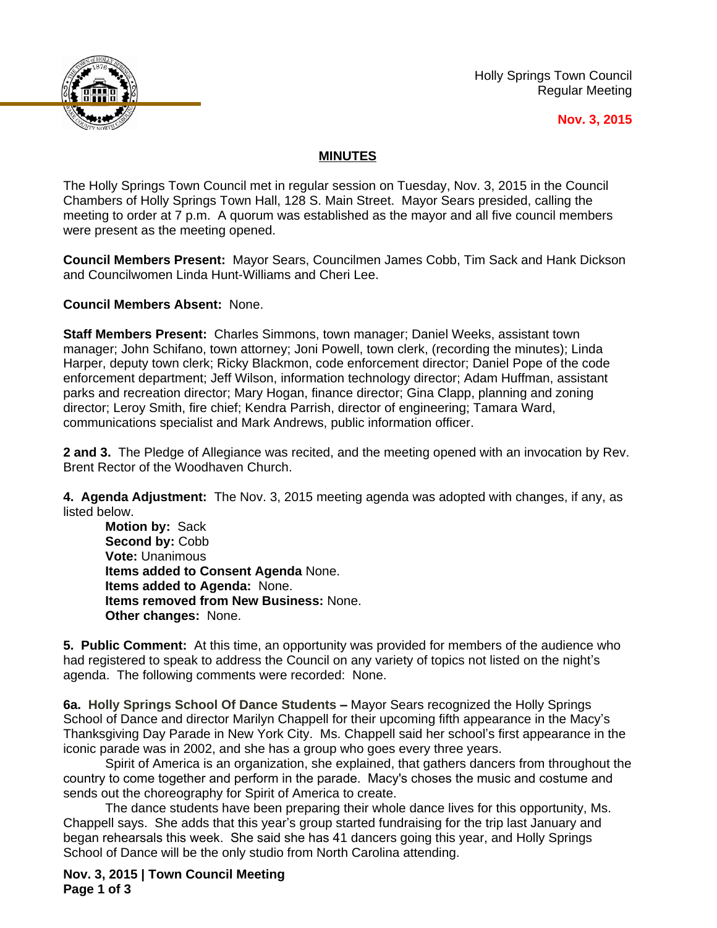

Holly Springs Town Council Regular Meeting

## **Nov. 3, 2015**

## **MINUTES**

The Holly Springs Town Council met in regular session on Tuesday, Nov. 3, 2015 in the Council Chambers of Holly Springs Town Hall, 128 S. Main Street. Mayor Sears presided, calling the meeting to order at 7 p.m. A quorum was established as the mayor and all five council members were present as the meeting opened.

**Council Members Present:** Mayor Sears, Councilmen James Cobb, Tim Sack and Hank Dickson and Councilwomen Linda Hunt-Williams and Cheri Lee.

**Council Members Absent:** None.

**Staff Members Present:** Charles Simmons, town manager; Daniel Weeks, assistant town manager; John Schifano, town attorney; Joni Powell, town clerk, (recording the minutes); Linda Harper, deputy town clerk; Ricky Blackmon, code enforcement director; Daniel Pope of the code enforcement department; Jeff Wilson, information technology director; Adam Huffman, assistant parks and recreation director; Mary Hogan, finance director; Gina Clapp, planning and zoning director; Leroy Smith, fire chief; Kendra Parrish, director of engineering; Tamara Ward, communications specialist and Mark Andrews, public information officer.

**2 and 3.** The Pledge of Allegiance was recited, and the meeting opened with an invocation by Rev. Brent Rector of the Woodhaven Church.

**4. Agenda Adjustment:** The Nov. 3, 2015 meeting agenda was adopted with changes, if any, as listed below.

**Motion by:** Sack Second by: Cobb **Vote:** Unanimous **Items added to Consent Agenda** None. **Items added to Agenda:** None. **Items removed from New Business:** None. **Other changes:** None.

**5. Public Comment:** At this time, an opportunity was provided for members of the audience who had registered to speak to address the Council on any variety of topics not listed on the night's agenda. The following comments were recorded: None.

**6a. Holly Springs School Of Dance Students –** Mayor Sears recognized the Holly Springs School of Dance and director Marilyn Chappell for their upcoming fifth appearance in the Macy's Thanksgiving Day Parade in New York City. Ms. Chappell said her school's first appearance in the iconic parade was in 2002, and she has a group who goes every three years.

Spirit of America is an organization, she explained, that gathers dancers from throughout the country to come together and perform in the parade. Macy's choses the music and costume and sends out the choreography for Spirit of America to create.

The dance students have been preparing their whole dance lives for this opportunity, Ms. Chappell says. She adds that this year's group started fundraising for the trip last January and began rehearsals this week. She said she has 41 dancers going this year, and Holly Springs School of Dance will be the only studio from North Carolina attending.

**Nov. 3, 2015 | Town Council Meeting Page 1 of 3**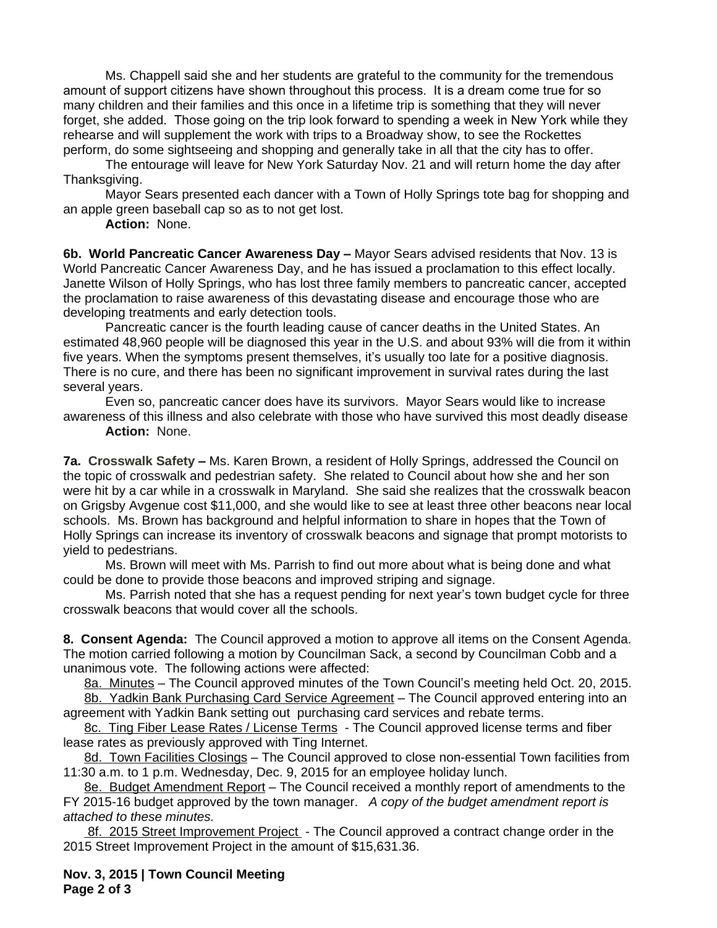Ms. Chappell said she and her students are grateful to the community for the tremendous amount of support citizens have shown throughout this process. It is a dream come true for so many children and their families and this once in a lifetime trip is something that they will never forget, she added. Those going on the trip look forward to spending a week in New York while they rehearse and will supplement the work with trips to a Broadway show, to see the Rockettes perform, do some sightseeing and shopping and generally take in all that the city has to offer.

The entourage will leave for New York Saturday Nov. 21 and will return home the day after Thanksgiving.

Mayor Sears presented each dancer with a Town of Holly Springs tote bag for shopping and an apple green baseball cap so as to not get lost.

**Action:** None.

**6b. World Pancreatic Cancer Awareness Day –** Mayor Sears advised residents that Nov. 13 is World Pancreatic Cancer Awareness Day, and he has issued a proclamation to this effect locally. Janette Wilson of Holly Springs, who has lost three family members to pancreatic cancer, accepted the proclamation to raise awareness of this devastating disease and encourage those who are developing treatments and early detection tools.

Pancreatic cancer is the fourth leading cause of cancer deaths in the United States. An estimated 48,960 people will be diagnosed this year in the U.S. and about 93% will die from it within five years. When the symptoms present themselves, it's usually too late for a positive diagnosis. There is no cure, and there has been no significant improvement in survival rates during the last several years.

Even so, pancreatic cancer does have its survivors. Mayor Sears would like to increase awareness of this illness and also celebrate with those who have survived this most deadly disease

**Action:** None.

**7a. Crosswalk Safety –** Ms. Karen Brown, a resident of Holly Springs, addressed the Council on the topic of crosswalk and pedestrian safety. She related to Council about how she and her son were hit by a car while in a crosswalk in Maryland. She said she realizes that the crosswalk beacon on Grigsby Avgenue cost \$11,000, and she would like to see at least three other beacons near local schools. Ms. Brown has background and helpful information to share in hopes that the Town of Holly Springs can increase its inventory of crosswalk beacons and signage that prompt motorists to yield to pedestrians.

Ms. Brown will meet with Ms. Parrish to find out more about what is being done and what could be done to provide those beacons and improved striping and signage.

Ms. Parrish noted that she has a request pending for next year's town budget cycle for three crosswalk beacons that would cover all the schools.

**8. Consent Agenda:** The Council approved a motion to approve all items on the Consent Agenda. The motion carried following a motion by Councilman Sack, a second by Councilman Cobb and a unanimous vote. The following actions were affected:

8a. Minutes – The Council approved minutes of the Town Council's meeting held Oct. 20, 2015. 8b. Yadkin Bank Purchasing Card Service Agreement - The Council approved entering into an

agreement with Yadkin Bank setting out purchasing card services and rebate terms.

8c. Ting Fiber Lease Rates / License Terms - The Council approved license terms and fiber lease rates as previously approved with Ting Internet.

8d. Town Facilities Closings – The Council approved to close non-essential Town facilities from 11:30 a.m. to 1 p.m. Wednesday, Dec. 9, 2015 for an employee holiday lunch.

8e. Budget Amendment Report – The Council received a monthly report of amendments to the FY 2015-16 budget approved by the town manager. *A copy of the budget amendment report is attached to these minutes.* 

8f. 2015 Street Improvement Project - The Council approved a contract change order in the 2015 Street Improvement Project in the amount of \$15,631.36.

**Nov. 3, 2015 | Town Council Meeting Page 2 of 3**